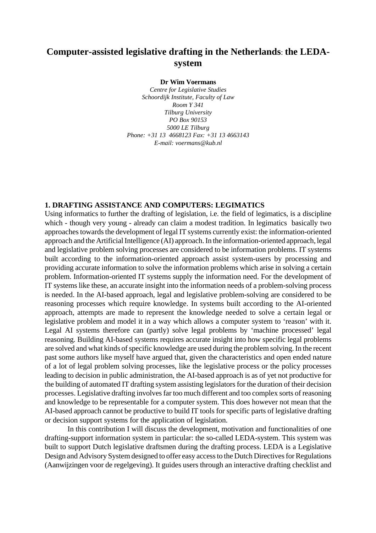# **Computer-assisted legislative drafting in the Netherlands**: **the LEDAsystem**

**Dr Wim Voermans**

*Centre for Legislative Studies Schoordijk Institute, Faculty of Law Room Y 341 Tilburg University PO Box 90153 5000 LE Tilburg Phone: +31 13 4668123 Fax: +31 13 4663143 E-mail: voermans@kub.nl*

### **1. DRAFTING ASSISTANCE AND COMPUTERS: LEGIMATICS**

Using informatics to further the drafting of legislation, i.e. the field of legimatics, is a discipline which - though very young - already can claim a modest tradition. In legimatics basically two approaches towards the development of legal IT systems currently exist: the information-oriented approach and the Artificial Intelligence (AI) approach. In the information-oriented approach, legal and legislative problem solving processes are considered to be information problems. IT systems built according to the information-oriented approach assist system-users by processing and providing accurate information to solve the information problems which arise in solving a certain problem. Information-oriented IT systems supply the information need. For the development of IT systems like these, an accurate insight into the information needs of a problem-solving process is needed. In the AI-based approach, legal and legislative problem-solving are considered to be reasoning processes which require knowledge. In systems built according to the AI-oriented approach, attempts are made to represent the knowledge needed to solve a certain legal or legislative problem and model it in a way which allows a computer system to 'reason' with it. Legal AI systems therefore can (partly) solve legal problems by 'machine processed' legal reasoning. Building AI-based systems requires accurate insight into how specific legal problems are solved and what kinds of specific knowledge are used during the problem solving. In the recent past some authors like myself have argued that, given the characteristics and open ended nature of a lot of legal problem solving processes, like the legislative process or the policy processes leading to decision in public administration, the AI-based approach is as of yet not productive for the building of automated IT drafting system assisting legislators for the duration of their decision processes. Legislative drafting involves far too much different and too complex sorts of reasoning and knowledge to be representable for a computer system. This does however not mean that the AI-based approach cannot be productive to build IT tools for specific parts of legislative drafting or decision support systems for the application of legislation.

In this contribution I will discuss the development, motivation and functionalities of one drafting-support information system in particular: the so-called LEDA-system. This system was built to support Dutch legislative draftsmen during the drafting process. LEDA is a Legislative Design and Advisory System designed to offer easy access to the Dutch Directives for Regulations (Aanwijzingen voor de regelgeving). It guides users through an interactive drafting checklist and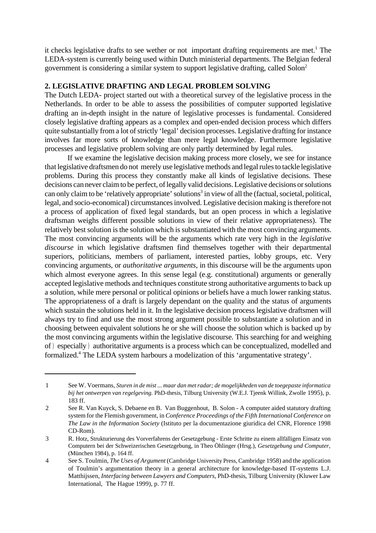it checks legislative drafts to see wether or not important drafting requirements are met.<sup>1</sup> The LEDA-system is currently being used within Dutch ministerial departments. The Belgian federal government is considering a similar system to support legislative drafting, called Solon<sup>2</sup>

# **2. LEGISLATIVE DRAFTING AND LEGAL PROBLEM SOLVING**

The Dutch LEDA- project started out with a theoretical survey of the legislative process in the Netherlands. In order to be able to assess the possibilities of computer supported legislative drafting an in-depth insight in the nature of legislative processes is fundamental. Considered closely legislative drafting appears as a complex and open-ended decision process which differs quite substantially from a lot of strictly 'legal' decision processes. Legislative drafting for instance involves far more sorts of knowledge than mere legal knowledge. Furthermore legislative processes and legislative problem solving are only partly determined by legal rules.

If we examine the legislative decision making process more closely, we see for instance that legislative draftsmen do not merely use legislative methods and legal rules to tackle legislative problems. During this process they constantly make all kinds of legislative decisions. These decisions can never claim to be perfect, of legally valid decisions. Legislative decisions or solutions can only claim to be 'relatively appropriate' solutions<sup>3</sup> in view of all the (factual, societal, political, legal, and socio-economical) circumstances involved. Legislative decision making is therefore not a process of application of fixed legal standards, but an open process in which a legislative draftsman weighs different possible solutions in view of their relative appropriateness). The relatively best solution is the solution which is substantiated with the most convincing arguments. The most convincing arguments will be the arguments which rate very high in the *legislative discourse* in which legislative draftsmen find themselves together with their departmental superiors, politicians, members of parliament, interested parties, lobby groups, etc. Very convincing arguments, or *authoritative arguments*, in this discourse will be the arguments upon which almost everyone agrees. In this sense legal (e.g. constitutional) arguments or generally accepted legislative methods and techniques constitute strong authoritative arguments to back up a solution, while mere personal or political opinions or beliefs have a much lower ranking status. The appropriateness of a draft is largely dependant on the quality and the status of arguments which sustain the solutions held in it. In the legislative decision process legislative draftsmen will always try to find and use the most strong argument possible to substantiate a solution and in choosing between equivalent solutions he or she will choose the solution which is backed up by the most convincing arguments within the legislative discourse. This searching for and weighing of ) especially ) authoritative arguments is a process which can be conceptualized, modelled and formalized.<sup>4</sup> The LEDA system harbours a modelization of this 'argumentative strategy'.

<sup>1</sup> See W. Voermans, *Sturen in de mist ... maar dan met radar; de mogelijkheden van de toegepaste informatica bij het ontwerpen van regelgeving.* PhD-thesis, Tilburg University (W.E.J. Tjeenk Willink, Zwolle 1995), p. 183 ff.

<sup>2</sup> See R. Van Kuyck, S. Debaene en B. Van Buggenhout, B. Solon - A computer aided statutory drafting system for the Flemish government, in *Conference Proceedings of the Fifth International Conference on The Law in the Information Society* (Istituto per la documentazione giuridica del CNR, Florence 1998 CD-Rom).

<sup>3</sup> R. Hotz, Strukturierung des Vorverfahrens der Gesetzgebung - Erste Schritte zu einem allfälligen Einsatz von Computern bei der Schweizerischen Gesetzgebung, in Theo Öhlinger (Hrsg.), *Gesetzgebung und Computer*, (München 1984), p. 164 ff.

<sup>4</sup> See S. Toulmin, *The Uses of Argument* (Cambridge University Press, Cambridge 1958) and the application of Toulmin's argumentation theory in a general architecture for knowledge-based IT-systems L.J. Matthijssen, *Interfacing between Lawyers and Computers*, PhD-thesis, Tilburg University (Kluwer Law International, The Hague 1999), p. 77 ff.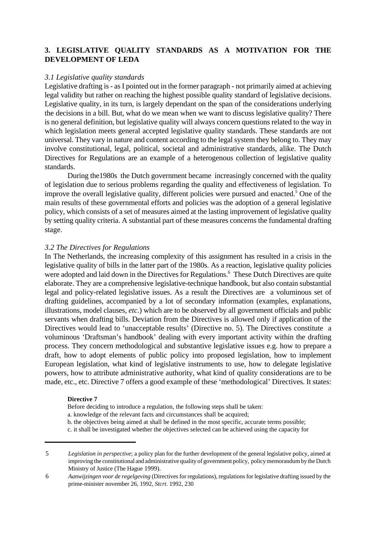# **3. LEGISLATIVE QUALITY STANDARDS AS A MOTIVATION FOR THE DEVELOPMENT OF LEDA**

### *3.1 Legislative quality standards*

Legislative drafting is - as I pointed out in the former paragraph - not primarily aimed at achieving legal validity but rather on reaching the highest possible quality standard of legislative decisions. Legislative quality, in its turn, is largely dependant on the span of the considerations underlying the decisions in a bill. But, what do we mean when we want to discuss legislative quality? There is no general definition, but legislative quality will always concern questions related to the way in which legislation meets general accepted legislative quality standards. These standards are not universal. They vary in nature and content according to the legal system they belong to. They may involve constitutional, legal, political, societal and administrative standards, alike. The Dutch Directives for Regulations are an example of a heterogenous collection of legislative quality standards.

During the1980s the Dutch government became increasingly concerned with the quality of legislation due to serious problems regarding the quality and effectiveness of legislation. To improve the overall legislative quality, different policies were pursued and enacted.<sup>5</sup> One of the main results of these governmental efforts and policies was the adoption of a general legislative policy, which consists of a set of measures aimed at the lasting improvement of legislative quality by setting quality criteria. A substantial part of these measures concerns the fundamental drafting stage.

### *3.2 The Directives for Regulations*

In The Netherlands, the increasing complexity of this assignment has resulted in a crisis in the legislative quality of bills in the latter part of the 1980s. As a reaction, legislative quality policies were adopted and laid down in the Directives for Regulations.<sup>6</sup> These Dutch Directives are quite elaborate. They are a comprehensive legislative-technique handbook, but also contain substantial legal and policy-related legislative issues. As a result the Directives are a voluminous set of drafting guidelines, accompanied by a lot of secondary information (examples, explanations, illustrations, model clauses, *etc.*) which are to be observed by all government officials and public servants when drafting bills. Deviation from the Directives is allowed only if application of the Directives would lead to 'unacceptable results' (Directive no. 5). The Directives constitute a voluminous 'Draftsman's handbook' dealing with every important activity within the drafting process. They concern methodological and substantive legislative issues e.g. how to prepare a draft, how to adopt elements of public policy into proposed legislation, how to implement European legislation, what kind of legislative instruments to use, how to delegate legislative powers, how to attribute administrative authority, what kind of quality considerations are to be made, etc., etc. Directive 7 offers a good example of these 'methodological' Directives. It states:

#### **Directive 7**

Before deciding to introduce a regulation, the following steps shall be taken:

- a. knowledge of the relevant facts and circumstances shall be acquired;
- b. the objectives being aimed at shall be defined in the most specific, accurate terms possible;
- c. it shall be investigated whether the objectives selected can be achieved using the capacity for

<sup>5</sup> *Legislation in perspective*; a policy plan for the further development of the general legislative policy, aimed at improving the constitutional and administrative quality of government policy, policy memorandum by the Dutch Ministry of Justice (The Hague 1999).

<sup>6</sup> *Aanwijzingen voor de regelgeving* (Directives for regulations), regulations for legislative drafting issued by the prime-minister november 26, 1992, *Stcrt*. 1992, 230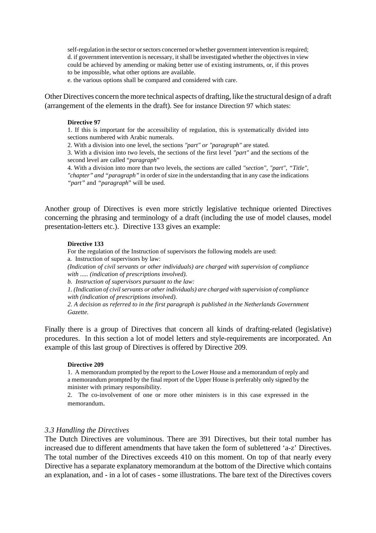self-regulation in the sector or sectors concerned or whether government intervention is required; d. if government intervention is necessary, it shall be investigated whether the objectives in view could be achieved by amending or making better use of existing instruments, or, if this proves to be impossible, what other options are available.

e. the various options shall be compared and considered with care.

Other Directives concern the more technical aspects of drafting, like the structural design of a draft (arrangement of the elements in the draft). See for instance Direction 97 which states:

#### **Directive 97**

1. If this is important for the accessibility of regulation, this is systematically divided into sections numbered with Arabic numerals.

2. With a division into one level, the sections *"part" or "paragraph"* are stated.

3. With a division into two levels, the sections of the first level *"part"* and the sections of the second level are called "*paragraph*"

4. With a division into more than two levels, the sections are called *"section", "part", "Title", "chapter" and "paragraph"* in order of size in the understanding that in any case the indications *"part"* and *"paragraph*" will be used.

Another group of Directives is even more strictly legislative technique oriented Directives concerning the phrasing and terminology of a draft (including the use of model clauses, model presentation-letters etc.). Directive 133 gives an example:

#### **Directive 133**

For the regulation of the Instruction of supervisors the following models are used: a. Instruction of supervisors by law:

*(Indication of civil servants or other individuals) are charged with supervision of compliance with ..... (indication of prescriptions involved).*

*b. Instruction of supervisors pursuant to the law:*

*1. (Indication of civil servants or other individuals) are charged with supervision of compliance with (indication of prescriptions involved).*

*2. A decision as referred to in the first paragraph is published in the Netherlands Government Gazette.*

Finally there is a group of Directives that concern all kinds of drafting-related (legislative) procedures. In this section a lot of model letters and style-requirements are incorporated. An example of this last group of Directives is offered by Directive 209.

#### **Directive 209**

1. A memorandum prompted by the report to the Lower House and a memorandum of reply and a memorandum prompted by the final report of the Upper House is preferably only signed by the minister with primary responsibility.

2. The co-involvement of one or more other ministers is in this case expressed in the memorandum.

#### *3.3 Handling the Directives*

The Dutch Directives are voluminous. There are 391 Directives, but their total number has increased due to different amendments that have taken the form of sublettered 'a-z' Directives. The total number of the Directives exceeds 410 on this moment. On top of that nearly every Directive has a separate explanatory memorandum at the bottom of the Directive which contains an explanation, and - in a lot of cases - some illustrations. The bare text of the Directives covers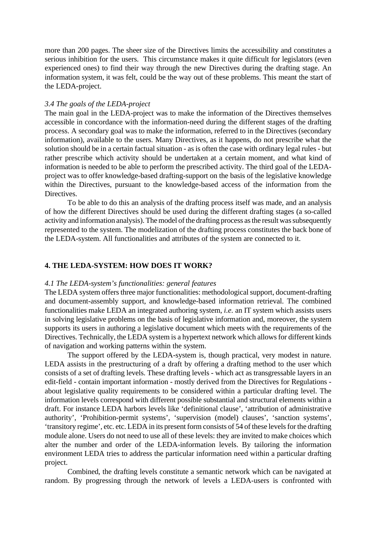more than 200 pages. The sheer size of the Directives limits the accessibility and constitutes a serious inhibition for the users. This circumstance makes it quite difficult for legislators (even experienced ones) to find their way through the new Directives during the drafting stage. An information system, it was felt, could be the way out of these problems. This meant the start of the LEDA-project.

#### *3.4 The goals of the LEDA-project*

The main goal in the LEDA-project was to make the information of the Directives themselves accessible in concordance with the information-need during the different stages of the drafting process. A secondary goal was to make the information, referred to in the Directives (secondary information), available to the users. Many Directives, as it happens, do not prescribe what the solution should be in a certain factual situation - as is often the case with ordinary legal rules - but rather prescribe which activity should be undertaken at a certain moment, and what kind of information is needed to be able to perform the prescribed activity. The third goal of the LEDAproject was to offer knowledge-based drafting-support on the basis of the legislative knowledge within the Directives, pursuant to the knowledge-based access of the information from the Directives.

To be able to do this an analysis of the drafting process itself was made, and an analysis of how the different Directives should be used during the different drafting stages (a so-called activity and information analysis). The model of the drafting process as the result was subsequently represented to the system. The modelization of the drafting process constitutes the back bone of the LEDA-system. All functionalities and attributes of the system are connected to it.

### **4. THE LEDA-SYSTEM: HOW DOES IT WORK?**

#### *4.1 The LEDA-system's functionalities: general features*

The LEDA system offers three major functionalities: methodological support, document-drafting and document-assembly support, and knowledge-based information retrieval. The combined functionalities make LEDA an integrated authoring system, *i.e.* an IT system which assists users in solving legislative problems on the basis of legislative information and, moreover, the system supports its users in authoring a legislative document which meets with the requirements of the Directives. Technically, the LEDA system is a hypertext network which allows for different kinds of navigation and working patterns within the system.

The support offered by the LEDA-system is, though practical, very modest in nature. LEDA assists in the prestructuring of a draft by offering a drafting method to the user which consists of a set of drafting levels. These drafting levels - which act as transgressable layers in an edit-field - contain important information - mostly derived from the Directives for Regulations about legislative quality requirements to be considered within a particular drafting level. The information levels correspond with different possible substantial and structural elements within a draft. For instance LEDA harbors levels like 'definitional clause', 'attribution of administrative authority', 'Prohibition-permit systems', 'supervision (model) clauses', 'sanction systems', 'transitory regime', etc. etc. LEDA in its present form consists of 54 of these levels for the drafting module alone. Users do not need to use all of these levels: they are invited to make choices which alter the number and order of the LEDA-information levels. By tailoring the information environment LEDA tries to address the particular information need within a particular drafting project.

Combined, the drafting levels constitute a semantic network which can be navigated at random. By progressing through the network of levels a LEDA-users is confronted with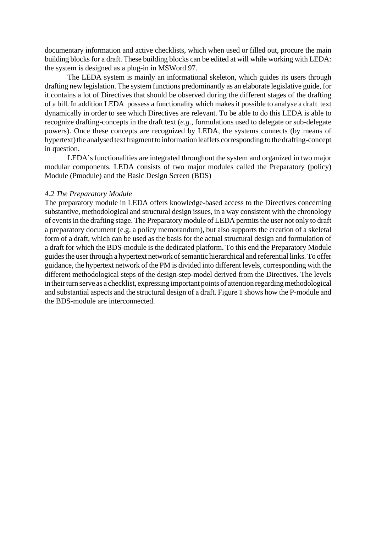documentary information and active checklists, which when used or filled out, procure the main building blocks for a draft. These building blocks can be edited at will while working with LEDA: the system is designed as a plug-in in MSWord 97.

The LEDA system is mainly an informational skeleton, which guides its users through drafting new legislation. The system functions predominantly as an elaborate legislative guide, for it contains a lot of Directives that should be observed during the different stages of the drafting of a bill. In addition LEDA possess a functionality which makes it possible to analyse a draft text dynamically in order to see which Directives are relevant. To be able to do this LEDA is able to recognize drafting-concepts in the draft text (*e.g.*, formulations used to delegate or sub-delegate powers). Once these concepts are recognized by LEDA, the systems connects (by means of hypertext) the analysed text fragment to information leaflets corresponding to the drafting-concept in question.

LEDA's functionalities are integrated throughout the system and organized in two major modular components. LEDA consists of two major modules called the Preparatory (policy) Module (Pmodule) and the Basic Design Screen (BDS)

#### *4.2 The Preparatory Module*

The preparatory module in LEDA offers knowledge-based access to the Directives concerning substantive, methodological and structural design issues, in a way consistent with the chronology of events in the drafting stage. The Preparatory module of LEDA permits the user not only to draft a preparatory document (e.g. a policy memorandum), but also supports the creation of a skeletal form of a draft, which can be used as the basis for the actual structural design and formulation of a draft for which the BDS-module is the dedicated platform. To this end the Preparatory Module guides the user through a hypertext network of semantic hierarchical and referential links. To offer guidance, the hypertext network of the PM is divided into different levels, corresponding with the different methodological steps of the design-step-model derived from the Directives. The levels in their turn serve as a checklist, expressing important points of attention regarding methodological and substantial aspects and the structural design of a draft. Figure 1 shows how the P-module and the BDS-module are interconnected.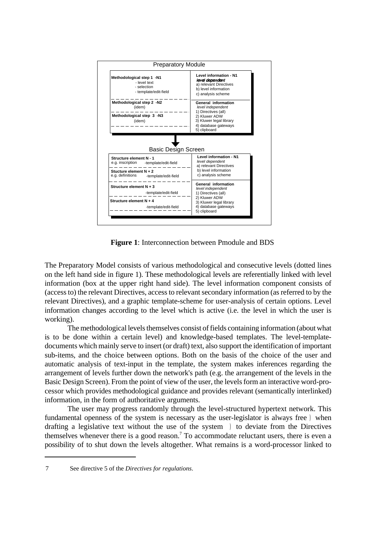

**Figure 1**: Interconnection between Pmodule and BDS

The Preparatory Model consists of various methodological and consecutive levels (dotted lines on the left hand side in figure 1). These methodological levels are referentially linked with level information (box at the upper right hand side). The level information component consists of (access to) the relevant Directives, access to relevant secondary information (as referred to by the relevant Directives), and a graphic template-scheme for user-analysis of certain options. Level information changes according to the level which is active (i.e. the level in which the user is working).

The methodological levels themselves consist of fields containing information (about what is to be done within a certain level) and knowledge-based templates. The level-templatedocuments which mainly serve to insert (or draft) text, also support the identification of important sub-items, and the choice between options. Both on the basis of the choice of the user and automatic analysis of text-input in the template, the system makes inferences regarding the arrangement of levels further down the network's path (e.g. the arrangement of the levels in the Basic Design Screen). From the point of view of the user, the levels form an interactive word-processor which provides methodological guidance and provides relevant (semantically interlinked) information, in the form of authoritative arguments.

The user may progress randomly through the level-structured hypertext network. This fundamental openness of the system is necessary as the user-legislator is always free ) when drafting a legislative text without the use of the system ) to deviate from the Directives themselves whenever there is a good reason.<sup>7</sup> To accommodate reluctant users, there is even a possibility of to shut down the levels altogether. What remains is a word-processor linked to

<sup>7</sup> See directive 5 of the *Directives for regulations*.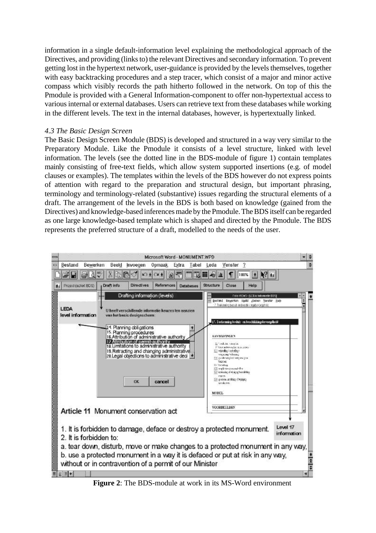information in a single default-information level explaining the methodological approach of the Directives, and providing (links to) the relevant Directives and secondary information. To prevent getting lost in the hypertext network, user-guidance is provided by the levels themselves, together with easy backtracking procedures and a step tracer, which consist of a major and minor active compass which visibly records the path hitherto followed in the network. On top of this the Pmodule is provided with a General Information-component to offer non-hypertextual access to various internal or external databases. Users can retrieve text from these databases while working in the different levels. The text in the internal databases, however, is hypertextually linked.

# *4.3 The Basic Design Screen*

The Basic Design Screen Module (BDS) is developed and structured in a way very similar to the Preparatory Module. Like the Pmodule it consists of a level structure, linked with level information. The levels (see the dotted line in the BDS-module of figure 1) contain templates mainly consisting of free-text fields, which allow system supported insertions (e.g. of model clauses or examples). The templates within the levels of the BDS however do not express points of attention with regard to the preparation and structural design, but important phrasing, terminology and terminology-related (substantive) issues regarding the structural elements of a draft. The arrangement of the levels in the BDS is both based on knowledge (gained from the Directives) and knowledge-based inferences made by the Pmodule. The BDS itself can be regarded as one large knowledge-based template which is shaped and directed by the Pmodule. The BDS represents the preferred structure of a draft, modelled to the needs of the user.



**Figure 2**: The BDS-module at work in its MS-Word environment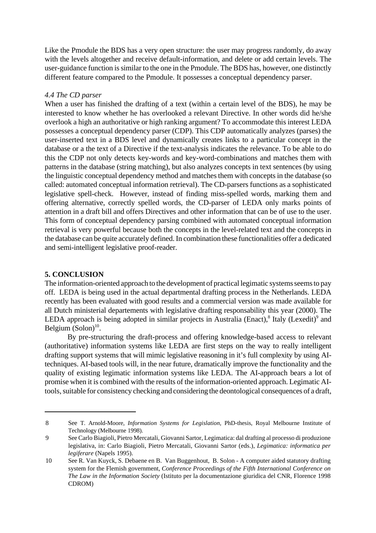Like the Pmodule the BDS has a very open structure: the user may progress randomly, do away with the levels altogether and receive default-information, and delete or add certain levels. The user-guidance function is similar to the one in the Pmodule. The BDS has, however, one distinctly different feature compared to the Pmodule. It possesses a conceptual dependency parser.

## *4.4 The CD parser*

When a user has finished the drafting of a text (within a certain level of the BDS), he may be interested to know whether he has overlooked a relevant Directive. In other words did he/she overlook a high an authoritative or high ranking argument? To accommodate this interest LEDA possesses a conceptual dependency parser (CDP). This CDP automatically analyzes (parses) the user-inserted text in a BDS level and dynamically creates links to a particular concept in the database or a the text of a Directive if the text-analysis indicates the relevance. To be able to do this the CDP not only detects key-words and key-word-combinations and matches them with patterns in the database (string matching), but also analyzes concepts in text sentences (by using the linguistic conceptual dependency method and matches them with concepts in the database (so called: automated conceptual information retrieval). The CD-parsers functions as a sophisticated legislative spell-check. However, instead of finding miss-spelled words, marking them and offering alternative, correctly spelled words, the CD-parser of LEDA only marks points of attention in a draft bill and offers Directives and other information that can be of use to the user. This form of conceptual dependency parsing combined with automated conceptual information retrieval is very powerful because both the concepts in the level-related text and the concepts in the database can be quite accurately defined. In combination these functionalities offer a dedicated and semi-intelligent legislative proof-reader.

# **5. CONCLUSION**

The information-oriented approach to the development of practical legimatic systems seems to pay off. LEDA is being used in the actual departmental drafting process in the Netherlands. LEDA recently has been evaluated with good results and a commercial version was made available for all Dutch ministerial departements with legislative drafting responsability this year (2000). The LEDA approach is being adopted in similar projects in Australia (Enact),<sup>8</sup> Italy (Lexedit)<sup>9</sup> and Belgium  $(Solon)^{10}$ .

By pre-structuring the draft-process and offering knowledge-based access to relevant (authoritative) information systems like LEDA are first steps on the way to really intelligent drafting support systems that will mimic legislative reasoning in it's full complexity by using AItechniques. AI-based tools will, in the near future, dramatically improve the functionality and the quality of existing legimatic information systems like LEDA. The AI-approach bears a lot of promise when it is combined with the results of the information-oriented approach. Legimatic AItools, suitable for consistency checking and considering the deontological consequences of a draft,

<sup>8</sup> See T. Arnold-Moore, *Information Systems for Legislation*, PhD-thesis, Royal Melbourne Institute of Technology (Melbourne 1998).

<sup>9</sup> See Carlo Biagioli, Pietro Mercatali, Giovanni Sartor, Legimatica: dal drafting al processo di produzione legislativa, in: Carlo Biagioli, Pietro Mercatali, Giovanni Sartor (eds.), *Legimatica: informatica per legiferare* (Napels 1995).

<sup>10</sup> See R. Van Kuyck, S. Debaene en B. Van Buggenhout, B. Solon - A computer aided statutory drafting system for the Flemish government, *Conference Proceedings of the Fifth International Conference on The Law in the Information Society* (Istituto per la documentazione giuridica del CNR, Florence 1998 CDROM)